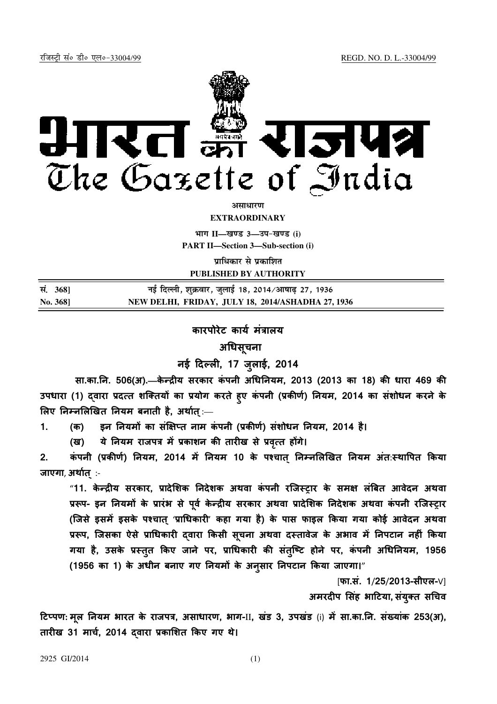jftLVªh laö Mhö ,yö&33004@99 REGD. NO. D. L.-33004/99



*असाधारण* **EXTRAORDINARY**

**Hkkx II—[k.M 3—mi&[k.M (i)**

**PART II—Section 3—Sub-section (i)**

**प्राधिकार से प्रकाशित PUBLISHED BY AUTHORITY**

| सं. 368] | नई दिल्ली, शुक्रवार, जुलाई 18, 2014⁄आषाढ़ 27, 1936 |
|----------|----------------------------------------------------|
| No. 368] | NEW DELHI, FRIDAY, JULY 18, 2014/ASHADHA 27, 1936  |

# कारपोरेट कार्य मत्रालय

## अधिसूचना

नई दिल्ली, 17 जुलाई, 2014

सा.का.नि. 506(अ).—केन्द्रीय सरकार कंपनी अधिनियम, 2013 (2013 का 18) की धारा 469 की उपधारा (1) द्वारा प्रदत्त शक्तियों का प्रयोग करते हुए कपनी (प्रकीणे) नियम, 2014 का संशोधन करने के लिए निम्नलिखित नियम बनाती है, अर्थात् :—

1. (क) इन नियमो का सक्षिप्त नाम कपनी (प्रकीणे) सशोधन नियम, 2014 है।

(ख) ये नियम राजपत्र में प्रकाशन की तारीख से प्रवृत्त होंगे।

2. कंपनी (प्रकीर्ण) नियम, 2014 मे नियम 10 के पश्चात् निम्नलिखित नियम अंतःस्थापित किया जाएगा, अर्थात् :-

"11. केन्द्रीय सरकार, प्रादेशिक निदेशक अथवा कंपनी रजिस्ट्रार के समक्ष लंबित आवेदन अथवा प्ररूप- इन नियमों के प्रारंभ से पूर्व केन्द्रीय सरकार अथवा प्रादेशिक निदेशक अथवा कंपनी रजिस्ट्रार (जिसे इसमें इसके पश्चात 'प्राधिकारी' कहा गया है) के पास फाइल किया गया कोई आवेदन अथवा प्ररूप, जिसका ऐसे प्राधिकारी दवारा किसी सूचना अथवा दस्तावेज के अभाव में निपटान नहीं किया गया है, उसके प्रस्तुत किए जाने पर, प्राधिकारी की संत्ष्टि होने पर, कंपनी अधिनियम, 1956 (1956 का 1) के अधीन बनाए गए नियमों के अनुसार निपटान किया जाएगा।"

[फा.सं. 1/25/2013-सीएल-V]

अमरदीप सिंह भाटिया, संयुक्त सचिव

टिप्पण: मूल नियम भारत के राजपत्र, असाधारण, भाग-II, खंड 3, उपखंड (i) में सा.का.नि. संख्यांक 253(अ), तारीख 31 मार्च, 2014 द्वारा प्रकाशित किए गए थे।